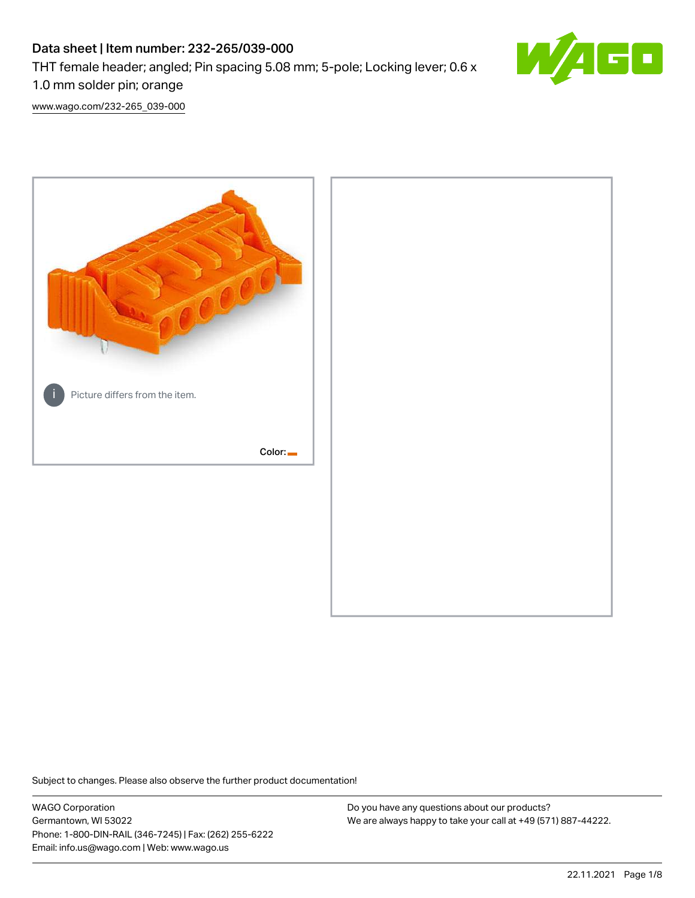# Data sheet | Item number: 232-265/039-000

THT female header; angled; Pin spacing 5.08 mm; 5-pole; Locking lever; 0.6 x



[www.wago.com/232-265\\_039-000](http://www.wago.com/232-265_039-000)



Subject to changes. Please also observe the further product documentation!

WAGO Corporation Germantown, WI 53022 Phone: 1-800-DIN-RAIL (346-7245) | Fax: (262) 255-6222 Email: info.us@wago.com | Web: www.wago.us

Do you have any questions about our products? We are always happy to take your call at +49 (571) 887-44222.

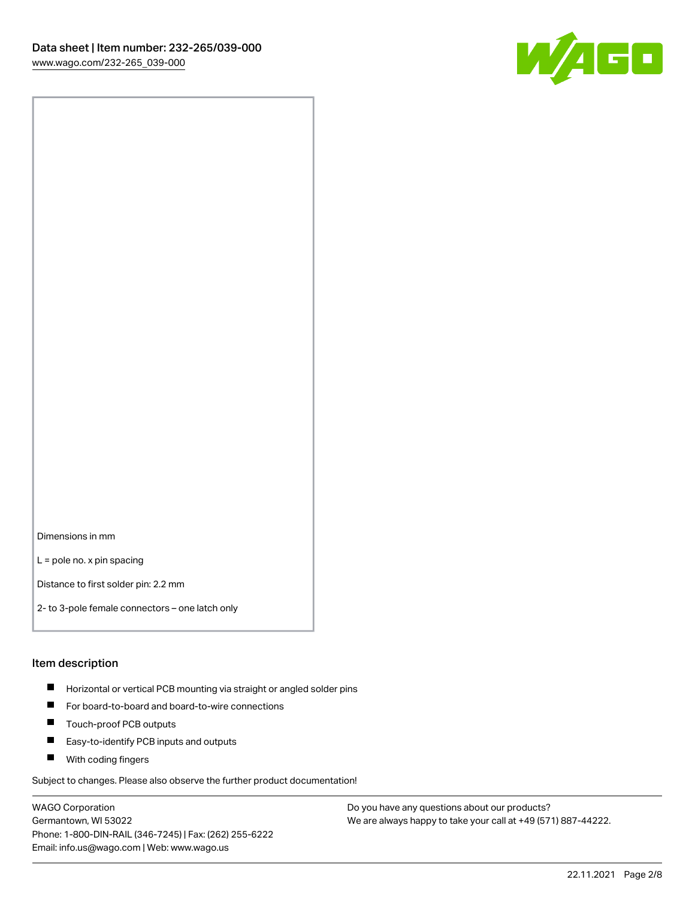

Dimensions in mm

L = pole no. x pin spacing

Distance to first solder pin: 2.2 mm

2- to 3-pole female connectors – one latch only

#### Item description

- **Horizontal or vertical PCB mounting via straight or angled solder pins**
- For board-to-board and board-to-wire connections
- $\blacksquare$ Touch-proof PCB outputs
- $\blacksquare$ Easy-to-identify PCB inputs and outputs
- **Now With coding fingers**

Subject to changes. Please also observe the further product documentation!

WAGO Corporation Germantown, WI 53022 Phone: 1-800-DIN-RAIL (346-7245) | Fax: (262) 255-6222 Email: info.us@wago.com | Web: www.wago.us

Do you have any questions about our products? We are always happy to take your call at +49 (571) 887-44222.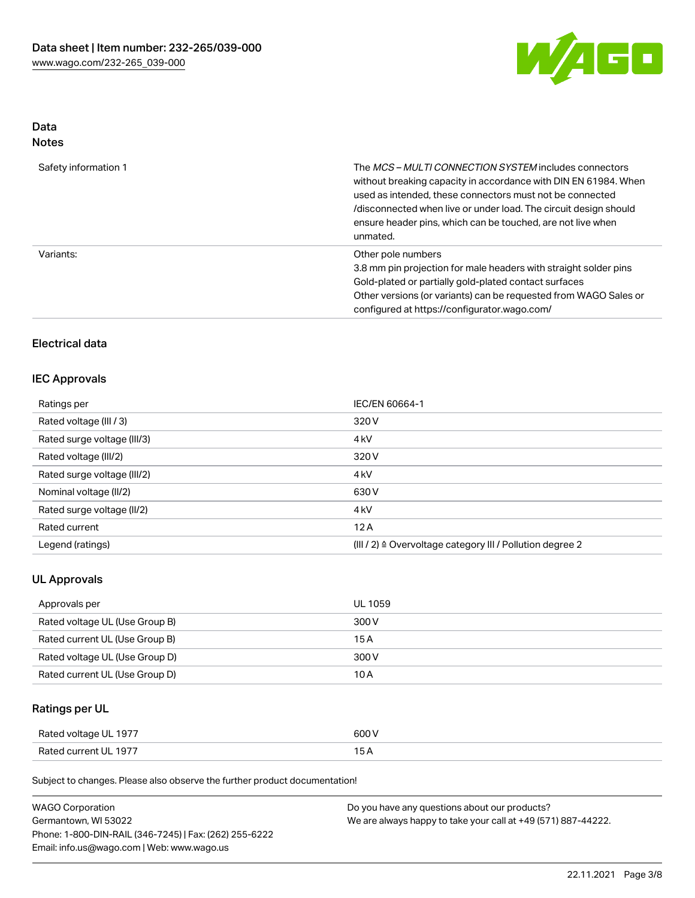

# Data

| Safety information 1 | The <i>MCS – MULTI CONNECTION SYSTEM</i> includes connectors<br>without breaking capacity in accordance with DIN EN 61984. When<br>used as intended, these connectors must not be connected<br>/disconnected when live or under load. The circuit design should<br>ensure header pins, which can be touched, are not live when<br>unmated. |
|----------------------|--------------------------------------------------------------------------------------------------------------------------------------------------------------------------------------------------------------------------------------------------------------------------------------------------------------------------------------------|
| Variants:            | Other pole numbers<br>3.8 mm pin projection for male headers with straight solder pins<br>Gold-plated or partially gold-plated contact surfaces<br>Other versions (or variants) can be requested from WAGO Sales or<br>configured at https://configurator.wago.com/                                                                        |

## Electrical data

## IEC Approvals

| Ratings per                 | IEC/EN 60664-1                                                       |
|-----------------------------|----------------------------------------------------------------------|
| Rated voltage (III / 3)     | 320 V                                                                |
| Rated surge voltage (III/3) | 4 <sub>k</sub> V                                                     |
| Rated voltage (III/2)       | 320 V                                                                |
| Rated surge voltage (III/2) | 4 <sub>k</sub> V                                                     |
| Nominal voltage (II/2)      | 630 V                                                                |
| Rated surge voltage (II/2)  | 4 <sub>k</sub> V                                                     |
| Rated current               | 12A                                                                  |
| Legend (ratings)            | (III / 2) $\triangleq$ Overvoltage category III / Pollution degree 2 |

## UL Approvals

| Approvals per                  | UL 1059 |
|--------------------------------|---------|
| Rated voltage UL (Use Group B) | 300 V   |
| Rated current UL (Use Group B) | 15 A    |
| Rated voltage UL (Use Group D) | 300 V   |
| Rated current UL (Use Group D) | 10 A    |

# Ratings per UL

| Rated voltage UL 1977 | 600 V |
|-----------------------|-------|
| Rated current UL 1977 |       |

Subject to changes. Please also observe the further product documentation!

| <b>WAGO Corporation</b>                                | Do you have any questions about our products?                 |
|--------------------------------------------------------|---------------------------------------------------------------|
| Germantown, WI 53022                                   | We are always happy to take your call at +49 (571) 887-44222. |
| Phone: 1-800-DIN-RAIL (346-7245)   Fax: (262) 255-6222 |                                                               |
| Email: info.us@wago.com   Web: www.wago.us             |                                                               |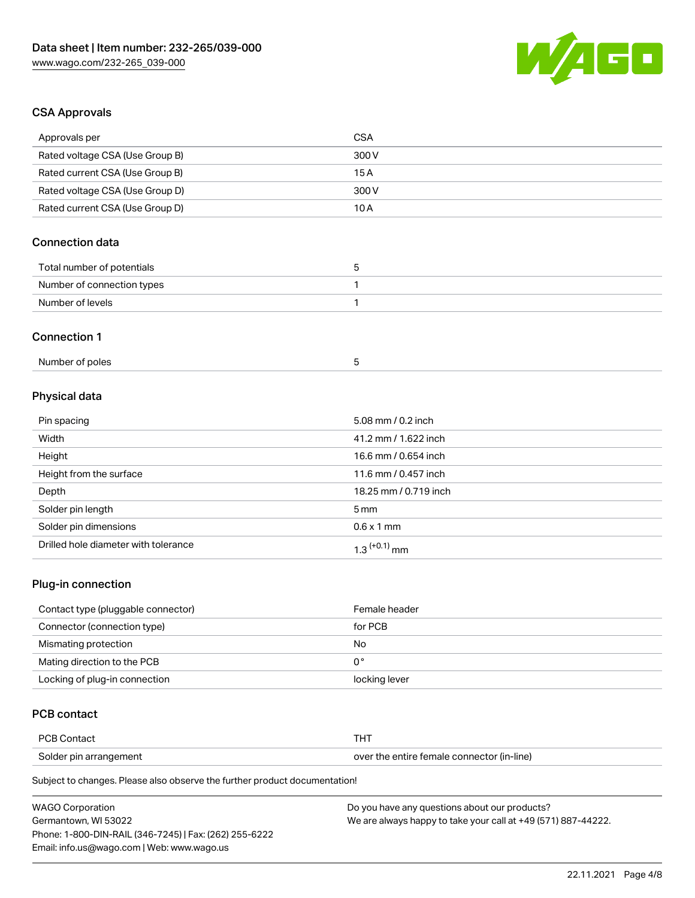

# CSA Approvals

| Approvals per                   | <b>CSA</b>            |  |
|---------------------------------|-----------------------|--|
| Rated voltage CSA (Use Group B) | 300V                  |  |
| Rated current CSA (Use Group B) | 15A                   |  |
| Rated voltage CSA (Use Group D) | 300V                  |  |
| Rated current CSA (Use Group D) | 10A                   |  |
| <b>Connection data</b>          |                       |  |
| Total number of potentials      | 5                     |  |
| Number of connection types      | 1                     |  |
| Number of levels                | 1                     |  |
| <b>Connection 1</b>             |                       |  |
| Number of poles                 | 5                     |  |
| Physical data                   |                       |  |
| Pin spacing                     | 5.08 mm / 0.2 inch    |  |
| Width                           | 41.2 mm / 1.622 inch  |  |
| Height                          | 16.6 mm / 0.654 inch  |  |
| Height from the surface         | 11.6 mm / 0.457 inch  |  |
| Depth                           | 18.25 mm / 0.719 inch |  |
| Solder pin length               | 5 <sub>mm</sub>       |  |
| Solder pin dimensions           | $0.6 \times 1$ mm     |  |

## Plug-in connection

| Contact type (pluggable connector) | Female header |
|------------------------------------|---------------|
| Connector (connection type)        | for PCB       |
| Mismating protection               | No            |
| Mating direction to the PCB        | 0°            |
| Locking of plug-in connection      | locking lever |

# PCB contact

| <b>PCB Contact</b>     |                                            |
|------------------------|--------------------------------------------|
| Solder pin arrangement | over the entire female connector (in-line) |

Subject to changes. Please also observe the further product documentation!

Drilled hole diameter with tolerance  $1.3$   $(+0.1)$  mm

| <b>WAGO Corporation</b>                                | Do you have any questions about our products?                 |
|--------------------------------------------------------|---------------------------------------------------------------|
| Germantown, WI 53022                                   | We are always happy to take your call at +49 (571) 887-44222. |
| Phone: 1-800-DIN-RAIL (346-7245)   Fax: (262) 255-6222 |                                                               |
| Email: info.us@wago.com   Web: www.wago.us             |                                                               |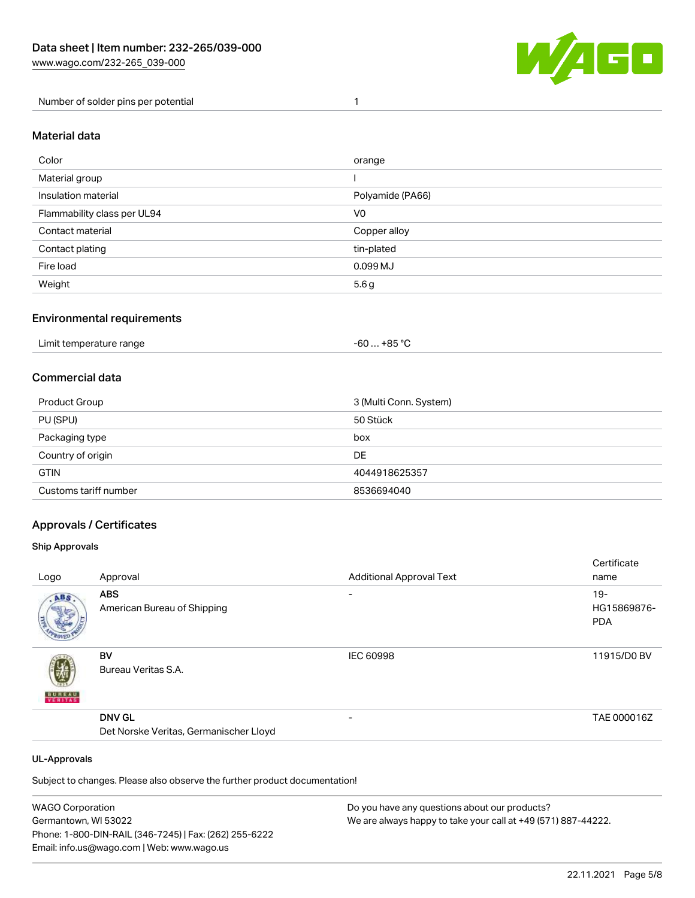

Number of solder pins per potential 1

#### Material data

| Color                       | orange           |
|-----------------------------|------------------|
| Material group              |                  |
| Insulation material         | Polyamide (PA66) |
| Flammability class per UL94 | V <sub>0</sub>   |
| Contact material            | Copper alloy     |
| Contact plating             | tin-plated       |
| Fire load                   | 0.099 MJ         |
| Weight                      | 5.6g             |

#### Environmental requirements

| Limit temperature range<br>. | . +85 °C<br>-60 |  |
|------------------------------|-----------------|--|
|------------------------------|-----------------|--|

## Commercial data

| Product Group         | 3 (Multi Conn. System) |  |
|-----------------------|------------------------|--|
| PU (SPU)              | 50 Stück               |  |
| Packaging type        | box                    |  |
| Country of origin     | DE                     |  |
| <b>GTIN</b>           | 4044918625357          |  |
| Customs tariff number | 8536694040             |  |

## Approvals / Certificates

#### Ship Approvals

|               |                                        |                                 | Certificate |
|---------------|----------------------------------------|---------------------------------|-------------|
| Logo          | Approval                               | <b>Additional Approval Text</b> | name        |
| ABS.          | <b>ABS</b>                             | $\overline{\phantom{0}}$        | $19 -$      |
|               | American Bureau of Shipping            |                                 | HG15869876- |
|               |                                        |                                 | <b>PDA</b>  |
|               |                                        |                                 |             |
|               | <b>BV</b>                              | <b>IEC 60998</b>                | 11915/D0 BV |
|               | Bureau Veritas S.A.                    |                                 |             |
| <b>BUNEAU</b> |                                        |                                 |             |
|               | <b>DNV GL</b>                          | $\overline{\phantom{0}}$        | TAE 000016Z |
|               | Det Norske Veritas, Germanischer Lloyd |                                 |             |
|               |                                        |                                 |             |

#### UL-Approvals

Subject to changes. Please also observe the further product documentation!

| WAGO Corporation                                       | Do you have any questions about our products?                 |
|--------------------------------------------------------|---------------------------------------------------------------|
| Germantown, WI 53022                                   | We are always happy to take your call at +49 (571) 887-44222. |
| Phone: 1-800-DIN-RAIL (346-7245)   Fax: (262) 255-6222 |                                                               |
| Email: info.us@wago.com   Web: www.wago.us             |                                                               |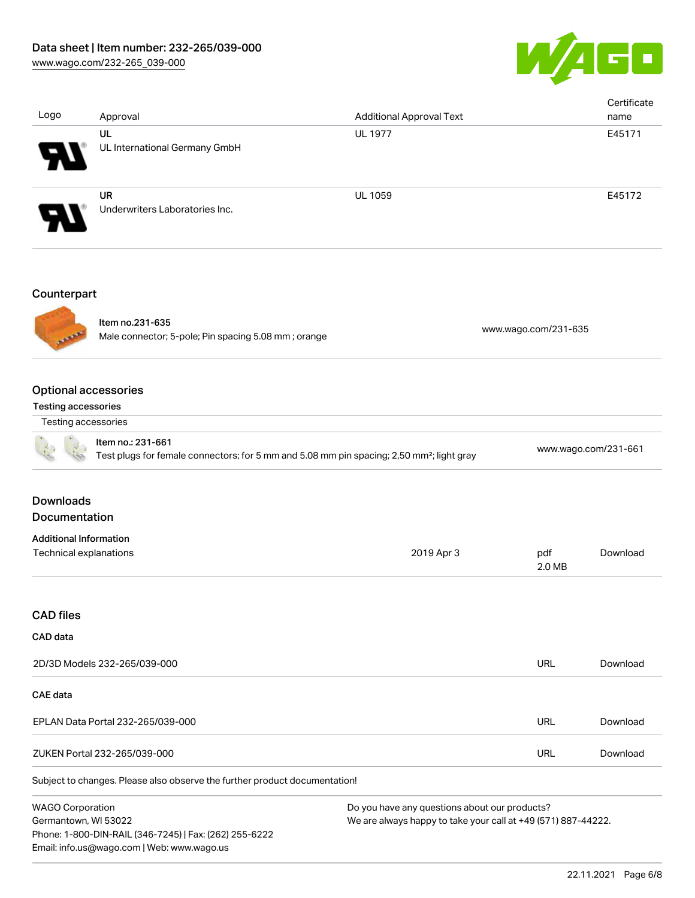Email: info.us@wago.com | Web: www.wago.us



| Logo                          | Approval                                                                                                                                           | <b>Additional Approval Text</b>                               |                      | Certificate<br>name |
|-------------------------------|----------------------------------------------------------------------------------------------------------------------------------------------------|---------------------------------------------------------------|----------------------|---------------------|
|                               | UL<br>UL International Germany GmbH                                                                                                                | <b>UL 1977</b>                                                |                      | E45171              |
|                               | <b>UR</b><br>Underwriters Laboratories Inc.                                                                                                        | <b>UL 1059</b>                                                |                      | E45172              |
|                               |                                                                                                                                                    |                                                               |                      |                     |
| Counterpart                   |                                                                                                                                                    |                                                               |                      |                     |
|                               | Item no.231-635<br>Male connector; 5-pole; Pin spacing 5.08 mm; orange                                                                             |                                                               | www.wago.com/231-635 |                     |
| <b>Optional accessories</b>   |                                                                                                                                                    |                                                               |                      |                     |
| <b>Testing accessories</b>    |                                                                                                                                                    |                                                               |                      |                     |
| Testing accessories           |                                                                                                                                                    |                                                               |                      |                     |
|                               | Item no.: 231-661<br>www.wago.com/231-661<br>Test plugs for female connectors; for 5 mm and 5.08 mm pin spacing; 2,50 mm <sup>2</sup> ; light gray |                                                               |                      |                     |
| <b>Downloads</b>              |                                                                                                                                                    |                                                               |                      |                     |
| Documentation                 |                                                                                                                                                    |                                                               |                      |                     |
| <b>Additional Information</b> |                                                                                                                                                    |                                                               |                      |                     |
| Technical explanations        |                                                                                                                                                    | 2019 Apr 3                                                    | pdf<br>2.0 MB        | Download            |
| <b>CAD files</b>              |                                                                                                                                                    |                                                               |                      |                     |
| CAD data                      |                                                                                                                                                    |                                                               |                      |                     |
|                               | 2D/3D Models 232-265/039-000                                                                                                                       |                                                               | <b>URL</b>           | Download            |
| CAE data                      |                                                                                                                                                    |                                                               |                      |                     |
|                               | EPLAN Data Portal 232-265/039-000                                                                                                                  |                                                               | URL                  | Download            |
|                               | ZUKEN Portal 232-265/039-000                                                                                                                       |                                                               | <b>URL</b>           | Download            |
|                               | Subject to changes. Please also observe the further product documentation!                                                                         |                                                               |                      |                     |
| <b>WAGO Corporation</b>       |                                                                                                                                                    | Do you have any questions about our products?                 |                      |                     |
| Germantown, WI 53022          | Phone: 1-800-DIN-RAIL (346-7245)   Fax: (262) 255-6222                                                                                             | We are always happy to take your call at +49 (571) 887-44222. |                      |                     |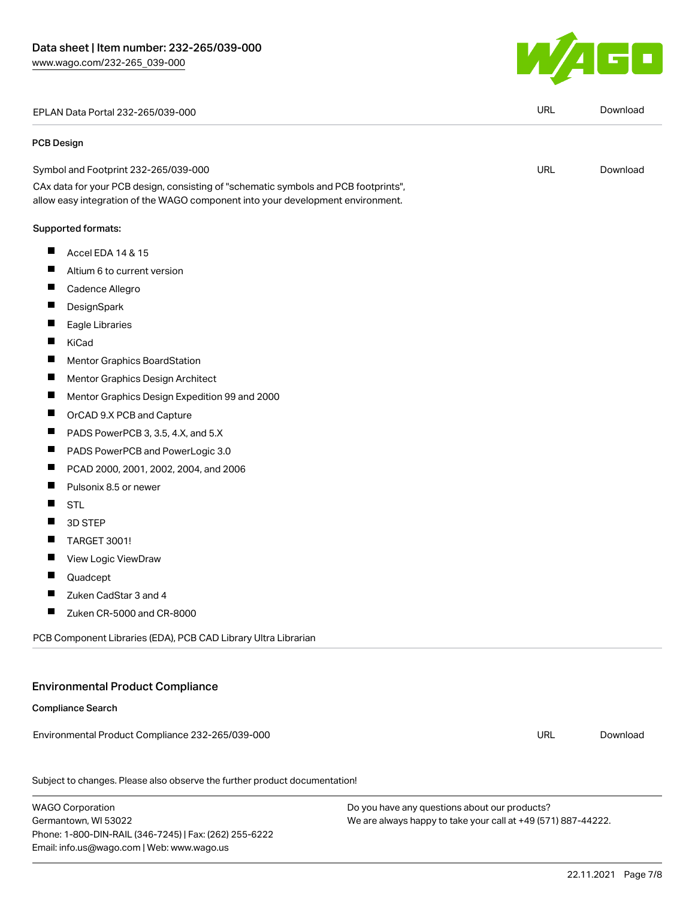## EPLAN Data Portal 232-265/039-000 URL [Download](https://www.wago.com/global/d/EPLAN_URLS_232-265_039-000)

#### PCB Design

## Symbol and Footprint 232-265/039-000 URL [Download](https://www.wago.com/global/d/UltraLibrarian_URLS_232-265_039-000)

CAx data for your PCB design, consisting of "schematic symbols and PCB footprints", allow easy integration of the WAGO component into your development environment.

#### Supported formats:

- $\blacksquare$ Accel EDA 14 & 15
- $\blacksquare$ Altium 6 to current version
- $\blacksquare$ Cadence Allegro
- $\blacksquare$ **DesignSpark**
- $\blacksquare$ Eagle Libraries
- П KiCad
- $\blacksquare$ Mentor Graphics BoardStation
- $\blacksquare$ Mentor Graphics Design Architect
- $\blacksquare$ Mentor Graphics Design Expedition 99 and 2000
- $\blacksquare$ OrCAD 9.X PCB and Capture
- $\blacksquare$ PADS PowerPCB 3, 3.5, 4.X, and 5.X
- $\blacksquare$ PADS PowerPCB and PowerLogic 3.0
- $\blacksquare$ PCAD 2000, 2001, 2002, 2004, and 2006
- $\blacksquare$ Pulsonix 8.5 or newer
- $\blacksquare$ STL
- $\blacksquare$ 3D STEP
- П TARGET 3001!
- П View Logic ViewDraw
- П Quadcept
- $\blacksquare$ Zuken CadStar 3 and 4
- П Zuken CR-5000 and CR-8000

PCB Component Libraries (EDA), PCB CAD Library Ultra Librarian

## Environmental Product Compliance

#### Compliance Search

Environmental Product Compliance 232-265/039-000

Subject to changes. Please also observe the further product documentation!

WAGO Corporation Germantown, WI 53022 Phone: 1-800-DIN-RAIL (346-7245) | Fax: (262) 255-6222 Email: info.us@wago.com | Web: www.wago.us

Do you have any questions about our products? We are always happy to take your call at +49 (571) 887-44222.



URL [Download](https://www.wago.com/global/d/ComplianceLinkMediaContainer_232-265_039-000)